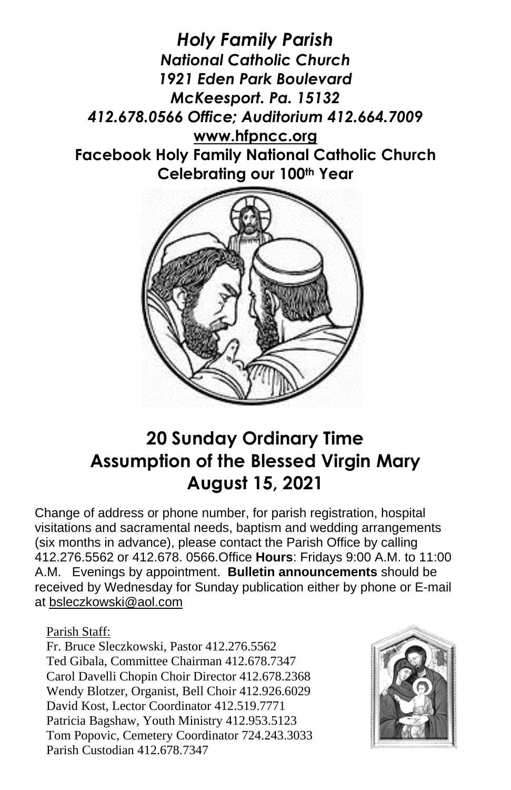



## **20 Sunday Ordinary Time Assumption of the Blessed Virgin Mary August 15, 2021**

Change of address or phone number, for parish registration, hospital visitations and sacramental needs, baptism and wedding arrangements (six months in advance), please contact the Parish Office by calling 412.276.5562 or 412.678. 0566.Office **Hours**: Fridays 9:00 A.M. to 11:00 A.M. Evenings by appointment. **Bulletin announcements** should be received by Wednesday for Sunday publication either by phone or E-mail at [bsleczkowski@aol.com](mailto:bsleczkowski@aol.com)

Parish Staff:

Fr. Bruce Sleczkowski, Pastor 412.276.5562 Ted Gibala, Committee Chairman 412.678.7347 Carol Davelli Chopin Choir Director 412.678.2368 Wendy Blotzer, Organist, Bell Choir 412.926.6029 David Kost, Lector Coordinator 412.519.7771 Patricia Bagshaw, Youth Ministry 412.953.5123 Tom Popovic, Cemetery Coordinator 724.243.3033 Parish Custodian 412.678.7347

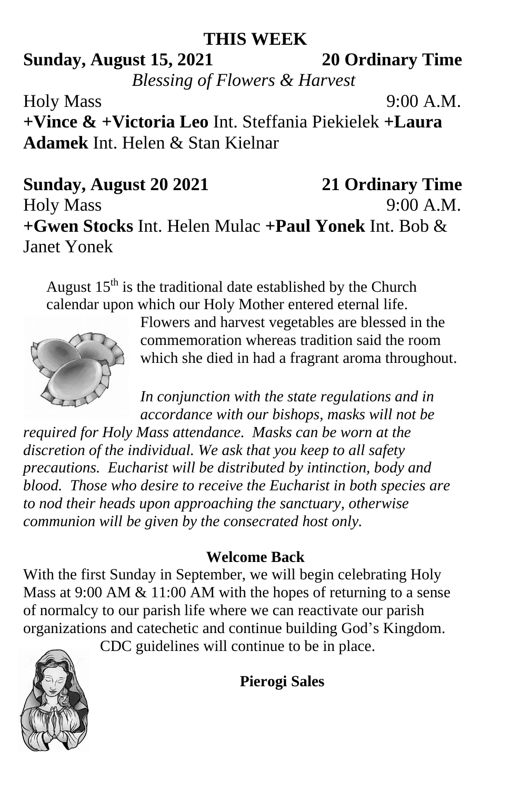### **THIS WEEK**

# **Sunday, August 15, 2021 20 Ordinary Time** *Blessing of Flowers & Harvest*

Holy Mass 9:00 A.M. **+Vince & +Victoria Leo** Int. Steffania Piekielek **+Laura Adamek** Int. Helen & Stan Kielnar

**Sunday, August 20 2021 21 Ordinary Time** Holy Mass 9:00 A.M. **+Gwen Stocks** Int. Helen Mulac **+Paul Yonek** Int. Bob & Janet Yonek

August  $15<sup>th</sup>$  is the traditional date established by the Church calendar upon which our Holy Mother entered eternal life.



Flowers and harvest vegetables are blessed in the commemoration whereas tradition said the room which she died in had a fragrant aroma throughout.

*In conjunction with the state regulations and in accordance with our bishops, masks will not be* 

*required for Holy Mass attendance. Masks can be worn at the discretion of the individual. We ask that you keep to all safety precautions. Eucharist will be distributed by intinction, body and blood. Those who desire to receive the Eucharist in both species are to nod their heads upon approaching the sanctuary, otherwise communion will be given by the consecrated host only.*

### **Welcome Back**

With the first Sunday in September, we will begin celebrating Holy Mass at 9:00 AM & 11:00 AM with the hopes of returning to a sense of normalcy to our parish life where we can reactivate our parish organizations and catechetic and continue building God's Kingdom.



CDC guidelines will continue to be in place.

**Pierogi Sales**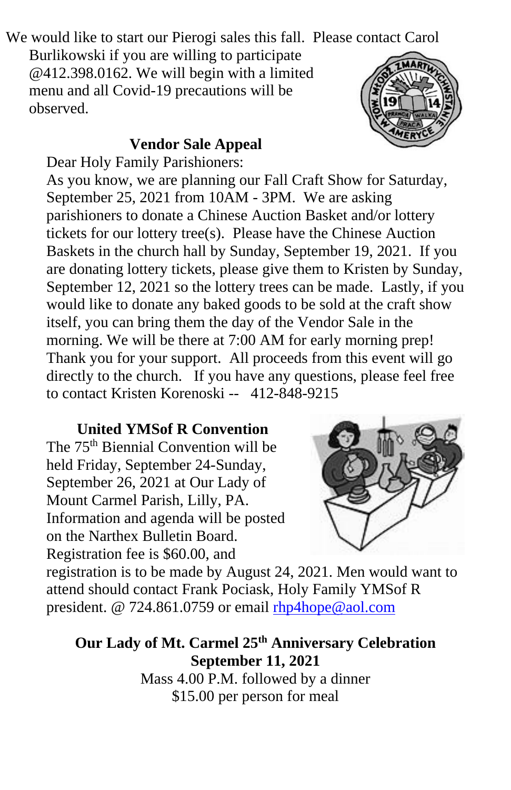We would like to start our Pierogi sales this fall. Please contact Carol

Burlikowski if you are willing to participate @412.398.0162. We will begin with a limited menu and all Covid-19 precautions will be observed.

#### **Vendor Sale Appeal**



Dear Holy Family Parishioners:

As you know, we are planning our Fall Craft Show for Saturday, September 25, 2021 from 10AM - 3PM. We are asking parishioners to donate a Chinese Auction Basket and/or lottery tickets for our lottery tree(s). Please have the Chinese Auction Baskets in the church hall by Sunday, September 19, 2021. If you are donating lottery tickets, please give them to Kristen by Sunday, September 12, 2021 so the lottery trees can be made. Lastly, if you would like to donate any baked goods to be sold at the craft show itself, you can bring them the day of the Vendor Sale in the morning. We will be there at 7:00 AM for early morning prep! Thank you for your support. All proceeds from this event will go directly to the church. If you have any questions, please feel free to contact Kristen Korenoski -- 412-848-9215

**United YMSof R Convention** The 75<sup>th</sup> Biennial Convention will be held Friday, September 24-Sunday, September 26, 2021 at Our Lady of Mount Carmel Parish, Lilly, PA. Information and agenda will be posted on the Narthex Bulletin Board. Registration fee is \$60.00, and



registration is to be made by August 24, 2021. Men would want to attend should contact Frank Pociask, Holy Family YMSof R president. @ 724.861.0759 or email [rhp4hope@aol.com](mailto:rhp4hope@aol.com)

**Our Lady of Mt. Carmel 25th Anniversary Celebration September 11, 2021** Mass 4.00 P.M. followed by a dinner \$15.00 per person for meal